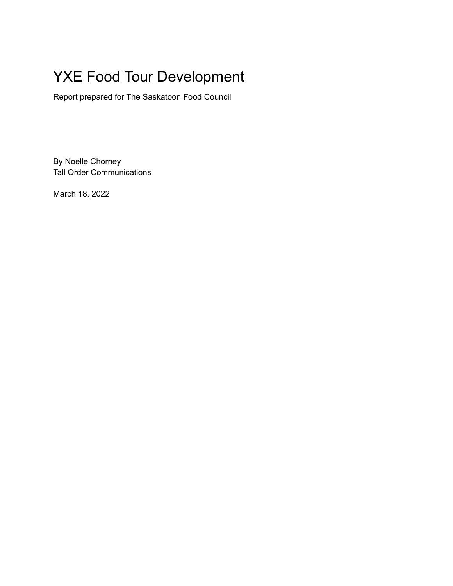# YXE Food Tour Development

Report prepared for The Saskatoon Food Council

By Noelle Chorney Tall Order Communications

March 18, 2022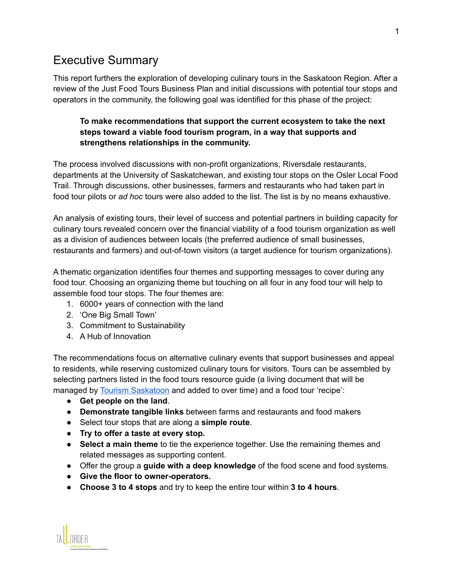# Executive Summary

This report furthers the exploration of developing culinary tours in the Saskatoon Region. After a review of the Just Food Tours Business Plan and initial discussions with potential tour stops and operators in the community, the following goal was identified for this phase of the project:

#### **To make recommendations that support the current ecosystem to take the next steps toward a viable food tourism program, in a way that supports and strengthens relationships in the community.**

The process involved discussions with non-profit organizations, Riversdale restaurants, departments at the University of Saskatchewan, and existing tour stops on the Osler Local Food Trail. Through discussions, other businesses, farmers and restaurants who had taken part in food tour pilots or *ad hoc* tours were also added to the list. The list is by no means exhaustive.

An analysis of existing tours, their level of success and potential partners in building capacity for culinary tours revealed concern over the financial viability of a food tourism organization as well as a division of audiences between locals (the preferred audience of small businesses, restaurants and farmers) and out-of-town visitors (a target audience for tourism organizations).

A thematic organization identifies four themes and supporting messages to cover during any food tour. Choosing an organizing theme but touching on all four in any food tour will help to assemble food tour stops. The four themes are:

- 1. 6000+ years of connection with the land
- 2. 'One Big Small Town'
- 3. Commitment to Sustainability
- 4. A Hub of Innovation

The recommendations focus on alternative culinary events that support businesses and appeal to residents, while reserving customized culinary tours for visitors. Tours can be assembled by selecting partners listed in the food tours resource guide (a living document that will be managed by Tourism [Saskatoon](mailto:dsutherland@tourismsaskatoon.com) and added to over time) and a food tour 'recipe':

- **Get people on the land**.
- **Demonstrate tangible links** between farms and restaurants and food makers
- Select tour stops that are along a **simple route**.
- **Try to offer a taste at every stop.**
- **Select a main theme** to tie the experience together. Use the remaining themes and related messages as supporting content.
- Offer the group a **guide with a deep knowledge** of the food scene and food systems.
- **Give the floor to owner-operators.**
- **Choose 3 to 4 stops** and try to keep the entire tour within **3 to 4 hours**.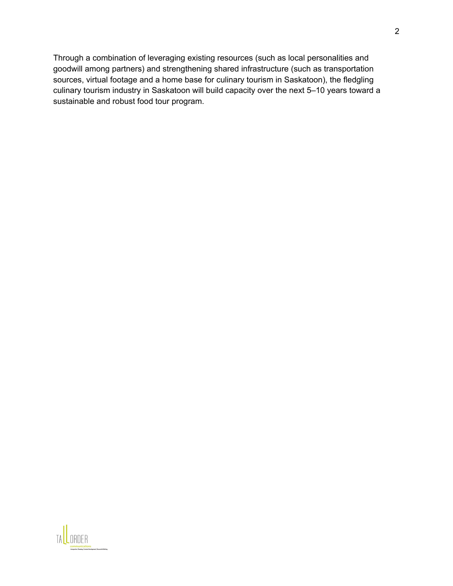Through a combination of leveraging existing resources (such as local personalities and goodwill among partners) and strengthening shared infrastructure (such as transportation sources, virtual footage and a home base for culinary tourism in Saskatoon), the fledgling culinary tourism industry in Saskatoon will build capacity over the next 5–10 years toward a sustainable and robust food tour program.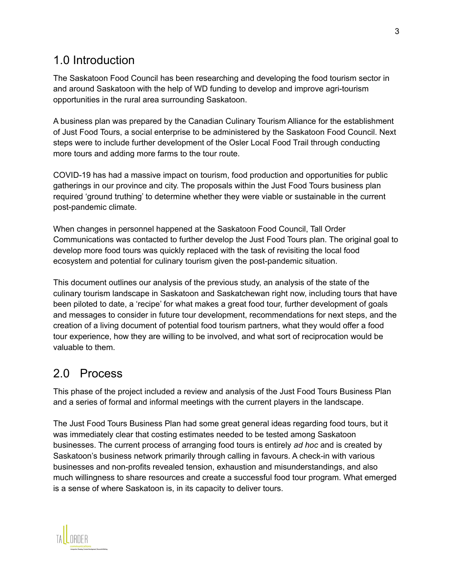# 1.0 Introduction

The Saskatoon Food Council has been researching and developing the food tourism sector in and around Saskatoon with the help of WD funding to develop and improve agri-tourism opportunities in the rural area surrounding Saskatoon.

A business plan was prepared by the Canadian Culinary Tourism Alliance for the establishment of Just Food Tours, a social enterprise to be administered by the Saskatoon Food Council. Next steps were to include further development of the Osler Local Food Trail through conducting more tours and adding more farms to the tour route.

COVID-19 has had a massive impact on tourism, food production and opportunities for public gatherings in our province and city. The proposals within the Just Food Tours business plan required 'ground truthing' to determine whether they were viable or sustainable in the current post-pandemic climate.

When changes in personnel happened at the Saskatoon Food Council, Tall Order Communications was contacted to further develop the Just Food Tours plan. The original goal to develop more food tours was quickly replaced with the task of revisiting the local food ecosystem and potential for culinary tourism given the post-pandemic situation.

This document outlines our analysis of the previous study, an analysis of the state of the culinary tourism landscape in Saskatoon and Saskatchewan right now, including tours that have been piloted to date, a 'recipe' for what makes a great food tour, further development of goals and messages to consider in future tour development, recommendations for next steps, and the creation of a living document of potential food tourism partners, what they would offer a food tour experience, how they are willing to be involved, and what sort of reciprocation would be valuable to them.

# 2.0 Process

This phase of the project included a review and analysis of the Just Food Tours Business Plan and a series of formal and informal meetings with the current players in the landscape.

The Just Food Tours Business Plan had some great general ideas regarding food tours, but it was immediately clear that costing estimates needed to be tested among Saskatoon businesses. The current process of arranging food tours is entirely *ad hoc* and is created by Saskatoon's business network primarily through calling in favours. A check-in with various businesses and non-profits revealed tension, exhaustion and misunderstandings, and also much willingness to share resources and create a successful food tour program. What emerged is a sense of where Saskatoon is, in its capacity to deliver tours.

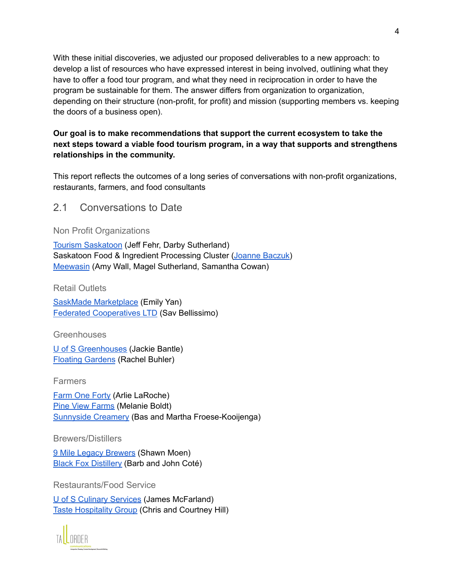With these initial discoveries, we adjusted our proposed deliverables to a new approach: to develop a list of resources who have expressed interest in being involved, outlining what they have to offer a food tour program, and what they need in reciprocation in order to have the program be sustainable for them. The answer differs from organization to organization, depending on their structure (non-profit, for profit) and mission (supporting members vs. keeping the doors of a business open).

#### **Our goal is to make recommendations that support the current ecosystem to take the next steps toward a viable food tourism program, in a way that supports and strengthens relationships in the community.**

This report reflects the outcomes of a long series of conversations with non-profit organizations, restaurants, farmers, and food consultants

2.1 Conversations to Date

Non Profit Organizations

Tourism [Saskatoon](https://www.tourismsaskatoon.com/) (Jeff Fehr, Darby Sutherland) Saskatoon Food & Ingredient Processing Cluster (Joanne [Baczuk\)](mailto:joanne.baczuk@agwest.sk.ca) [Meewasin](https://meewasin.com/) (Amy Wall, Magel Sutherland, Samantha Cowan)

Retail Outlets

SaskMade [Marketplace](https://www.saskmade.ca/) (Emily Yan) Federated [Cooperatives](https://www.fcl.crs/) LTD (Sav Bellissimo)

**Greenhouses** 

U of S [Greenhouses](https://agbio.usask.ca/research/centres-and-facilities/greenhouses.php#Greenhouses) (Jackie Bantle) Floating [Gardens](https://floatinggardens.ca/) (Rachel Buhler)

**Farmers** 

[Farm](https://www.farmoneforty.ca/) One Forty (Arlie LaRoche) Pine View [Farms](https://pineviewfarms.com/) (Melanie Boldt) [Sunnyside](https://www.sunnysidedairyfarm.com/) Creamery (Bas and Martha Froese-Kooijenga)

Brewers/Distillers

9 Mile Legacy [Brewers](https://9milelegacy.com/) (Shawn Moen) Black Fox [Distillery](https://www.blackfoxfarmanddistillery.com/) (Barb and John Coté)

Restaurants/Food Service

U of S Culinary [Services](https://culinaryservices.usask.ca/?gclid=Cj0KCQiA64GRBhCZARIsAHOLriKD6cD31u6Gyxvlprf9yxzm5Z9XAbH6jBuVvRuG44rKy4SdFK-_5MgaAtIlEALw_wcB) (James McFarland) Taste [Hospitality](https://www.tasteyxe.com/) Group (Chris and Courtney Hill)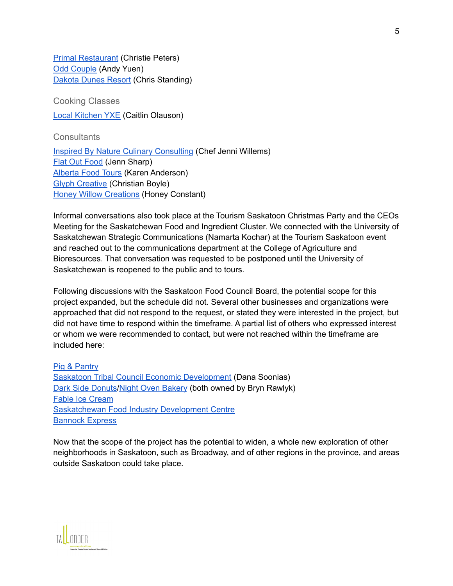Primal [Restaurant](https://primalpasta.ca/) (Christie Peters) Odd [Couple](https://oddcouple.ca/) (Andy Yuen) [Dakota](https://www.dakotadunesresort.com/index.php?gclid=CjwKCAiA4KaRBhBdEiwAZi1zzt-NrVMfntsS1VBFHf-3tEyGtibZ1HFEjxOqfXPGKGcDYTpLWk7cdRoCYZoQAvD_BwE) Dunes Resort (Chris Standing)

Cooking Classes Local [Kitchen](https://www.thelocalkitchenyxe.com/) YXE (Caitlin Olauson)

**Consultants** 

Inspired By Nature Culinary [Consulting](https://www.jennilessard.com/) (Chef Jenni Willems) Flat Out [Food](https://jennsharp.ca/) (Jenn Sharp) [Alberta](https://albertafoodtours.ca/) Food Tours (Karen Anderson) Glyph [Creative](https://glyphcreative.ca/contact/) (Christian Boyle) Honey Willow [Creations](http://honeywillow.ca) (Honey Constant)

Informal conversations also took place at the Tourism Saskatoon Christmas Party and the CEOs Meeting for the Saskatchewan Food and Ingredient Cluster. We connected with the University of Saskatchewan Strategic Communications (Namarta Kochar) at the Tourism Saskatoon event and reached out to the communications department at the College of Agriculture and Bioresources. That conversation was requested to be postponed until the University of Saskatchewan is reopened to the public and to tours.

Following discussions with the Saskatoon Food Council Board, the potential scope for this project expanded, but the schedule did not. Several other businesses and organizations were approached that did not respond to the request, or stated they were interested in the project, but did not have time to respond within the timeframe. A partial list of others who expressed interest or whom we were recommended to contact, but were not reached within the timeframe are included here:

Pig & [Pantry](https://pigandpantry.com/) Saskatoon Tribal Council Economic [Development](https://www.sktc.sk.ca/economic-development/) (Dana Soonias) Dark Side [Donuts](https://darksidedonuts.square.site/)/Night Oven [Bakery](http://www.thenightoven.ca/) (both owned by Bryn Rawlyk) Fable Ice [Cream](http://www.fableicecream.com/) [Saskatchewan](https://foodcentre.sk.ca/) Food Industry Development Centre [Bannock](https://www.bannockexpress.ca/) Express

Now that the scope of the project has the potential to widen, a whole new exploration of other neighborhoods in Saskatoon, such as Broadway, and of other regions in the province, and areas outside Saskatoon could take place.

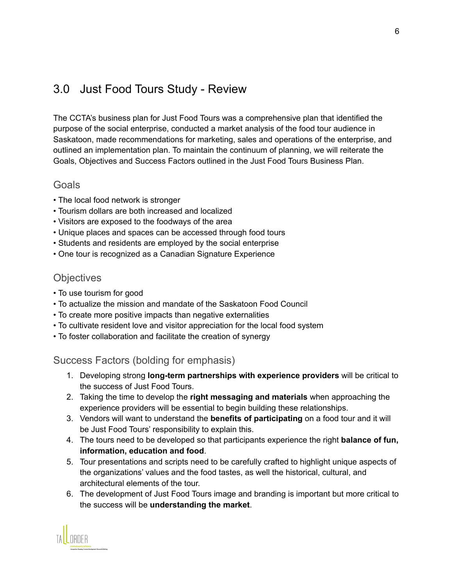# 3.0 Just Food Tours Study - Review

The CCTA's business plan for Just Food Tours was a comprehensive plan that identified the purpose of the social enterprise, conducted a market analysis of the food tour audience in Saskatoon, made recommendations for marketing, sales and operations of the enterprise, and outlined an implementation plan. To maintain the continuum of planning, we will reiterate the Goals, Objectives and Success Factors outlined in the Just Food Tours Business Plan.

#### **Goals**

- The local food network is stronger
- Tourism dollars are both increased and localized
- Visitors are exposed to the foodways of the area
- Unique places and spaces can be accessed through food tours
- Students and residents are employed by the social enterprise
- One tour is recognized as a Canadian Signature Experience

### **Objectives**

- To use tourism for good
- To actualize the mission and mandate of the Saskatoon Food Council
- To create more positive impacts than negative externalities
- To cultivate resident love and visitor appreciation for the local food system
- To foster collaboration and facilitate the creation of synergy

#### Success Factors (bolding for emphasis)

- 1. Developing strong **long-term partnerships with experience providers** will be critical to the success of Just Food Tours.
- 2. Taking the time to develop the **right messaging and materials** when approaching the experience providers will be essential to begin building these relationships.
- 3. Vendors will want to understand the **benefits of participating** on a food tour and it will be Just Food Tours' responsibility to explain this.
- 4. The tours need to be developed so that participants experience the right **balance of fun, information, education and food**.
- 5. Tour presentations and scripts need to be carefully crafted to highlight unique aspects of the organizations' values and the food tastes, as well the historical, cultural, and architectural elements of the tour.
- 6. The development of Just Food Tours image and branding is important but more critical to the success will be **understanding the market**.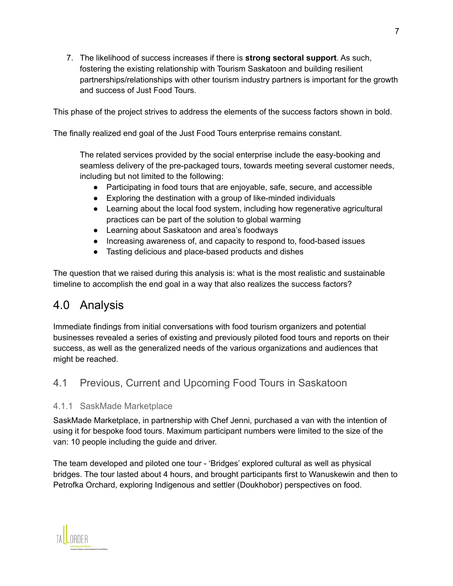7. The likelihood of success increases if there is **strong sectoral support**. As such, fostering the existing relationship with Tourism Saskatoon and building resilient partnerships/relationships with other tourism industry partners is important for the growth and success of Just Food Tours.

This phase of the project strives to address the elements of the success factors shown in bold.

The finally realized end goal of the Just Food Tours enterprise remains constant.

The related services provided by the social enterprise include the easy-booking and seamless delivery of the pre-packaged tours, towards meeting several customer needs, including but not limited to the following:

- Participating in food tours that are enjoyable, safe, secure, and accessible
- Exploring the destination with a group of like-minded individuals
- Learning about the local food system, including how regenerative agricultural practices can be part of the solution to global warming
- Learning about Saskatoon and area's foodways
- Increasing awareness of, and capacity to respond to, food-based issues
- Tasting delicious and place-based products and dishes

The question that we raised during this analysis is: what is the most realistic and sustainable timeline to accomplish the end goal in a way that also realizes the success factors?

# 4.0 Analysis

Immediate findings from initial conversations with food tourism organizers and potential businesses revealed a series of existing and previously piloted food tours and reports on their success, as well as the generalized needs of the various organizations and audiences that might be reached.

# 4.1 Previous, Current and Upcoming Food Tours in Saskatoon

#### 4.1.1 SaskMade Marketplace

SaskMade Marketplace, in partnership with Chef Jenni, purchased a van with the intention of using it for bespoke food tours. Maximum participant numbers were limited to the size of the van: 10 people including the guide and driver.

The team developed and piloted one tour - 'Bridges' explored cultural as well as physical bridges. The tour lasted about 4 hours, and brought participants first to Wanuskewin and then to Petrofka Orchard, exploring Indigenous and settler (Doukhobor) perspectives on food.

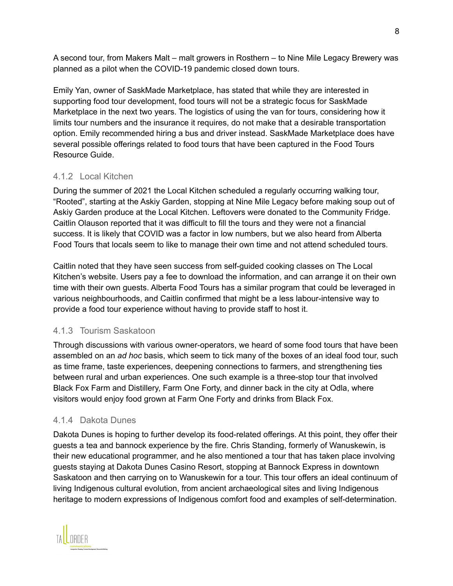A second tour, from Makers Malt – malt growers in Rosthern – to Nine Mile Legacy Brewery was planned as a pilot when the COVID-19 pandemic closed down tours.

Emily Yan, owner of SaskMade Marketplace, has stated that while they are interested in supporting food tour development, food tours will not be a strategic focus for SaskMade Marketplace in the next two years. The logistics of using the van for tours, considering how it limits tour numbers and the insurance it requires, do not make that a desirable transportation option. Emily recommended hiring a bus and driver instead. SaskMade Marketplace does have several possible offerings related to food tours that have been captured in the Food Tours Resource Guide.

#### 4.1.2 Local Kitchen

During the summer of 2021 the Local Kitchen scheduled a regularly occurring walking tour, "Rooted", starting at the Askiy Garden, stopping at Nine Mile Legacy before making soup out of Askiy Garden produce at the Local Kitchen. Leftovers were donated to the Community Fridge. Caitlin Olauson reported that it was difficult to fill the tours and they were not a financial success. It is likely that COVID was a factor in low numbers, but we also heard from Alberta Food Tours that locals seem to like to manage their own time and not attend scheduled tours.

Caitlin noted that they have seen success from self-guided cooking classes on The Local Kitchen's website. Users pay a fee to download the information, and can arrange it on their own time with their own guests. Alberta Food Tours has a similar program that could be leveraged in various neighbourhoods, and Caitlin confirmed that might be a less labour-intensive way to provide a food tour experience without having to provide staff to host it.

#### 4.1.3 Tourism Saskatoon

Through discussions with various owner-operators, we heard of some food tours that have been assembled on an *ad hoc* basis, which seem to tick many of the boxes of an ideal food tour, such as time frame, taste experiences, deepening connections to farmers, and strengthening ties between rural and urban experiences. One such example is a three-stop tour that involved Black Fox Farm and Distillery, Farm One Forty, and dinner back in the city at Odla, where visitors would enjoy food grown at Farm One Forty and drinks from Black Fox.

#### 4.1.4 Dakota Dunes

Dakota Dunes is hoping to further develop its food-related offerings. At this point, they offer their guests a tea and bannock experience by the fire. Chris Standing, formerly of Wanuskewin, is their new educational programmer, and he also mentioned a tour that has taken place involving guests staying at Dakota Dunes Casino Resort, stopping at Bannock Express in downtown Saskatoon and then carrying on to Wanuskewin for a tour. This tour offers an ideal continuum of living Indigenous cultural evolution, from ancient archaeological sites and living Indigenous heritage to modern expressions of Indigenous comfort food and examples of self-determination.

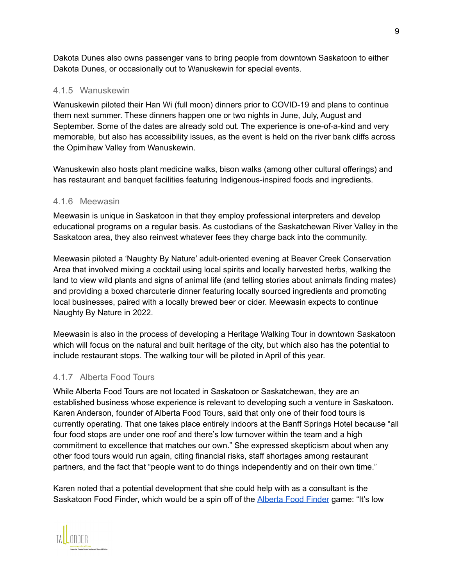Dakota Dunes also owns passenger vans to bring people from downtown Saskatoon to either Dakota Dunes, or occasionally out to Wanuskewin for special events.

#### 4.1.5 Wanuskewin

Wanuskewin piloted their Han Wi (full moon) dinners prior to COVID-19 and plans to continue them next summer. These dinners happen one or two nights in June, July, August and September. Some of the dates are already sold out. The experience is one-of-a-kind and very memorable, but also has accessibility issues, as the event is held on the river bank cliffs across the Opimihaw Valley from Wanuskewin.

Wanuskewin also hosts plant medicine walks, bison walks (among other cultural offerings) and has restaurant and banquet facilities featuring Indigenous-inspired foods and ingredients.

#### 4.1.6 Meewasin

Meewasin is unique in Saskatoon in that they employ professional interpreters and develop educational programs on a regular basis. As custodians of the Saskatchewan River Valley in the Saskatoon area, they also reinvest whatever fees they charge back into the community.

Meewasin piloted a 'Naughty By Nature' adult-oriented evening at Beaver Creek Conservation Area that involved mixing a cocktail using local spirits and locally harvested herbs, walking the land to view wild plants and signs of animal life (and telling stories about animals finding mates) and providing a boxed charcuterie dinner featuring locally sourced ingredients and promoting local businesses, paired with a locally brewed beer or cider. Meewasin expects to continue Naughty By Nature in 2022.

Meewasin is also in the process of developing a Heritage Walking Tour in downtown Saskatoon which will focus on the natural and built heritage of the city, but which also has the potential to include restaurant stops. The walking tour will be piloted in April of this year.

#### 4.1.7 Alberta Food Tours

While Alberta Food Tours are not located in Saskatoon or Saskatchewan, they are an established business whose experience is relevant to developing such a venture in Saskatoon. Karen Anderson, founder of Alberta Food Tours, said that only one of their food tours is currently operating. That one takes place entirely indoors at the Banff Springs Hotel because "all four food stops are under one roof and there's low turnover within the team and a high commitment to excellence that matches our own." She expressed skepticism about when any other food tours would run again, citing financial risks, staff shortages among restaurant partners, and the fact that "people want to do things independently and on their own time."

Karen noted that a potential development that she could help with as a consultant is the Saskatoon Food Finder, which would be a spin off of the [Alberta](https://albertafoodtours.ca/alberta-food-finder/) Food Finder game: "It's low

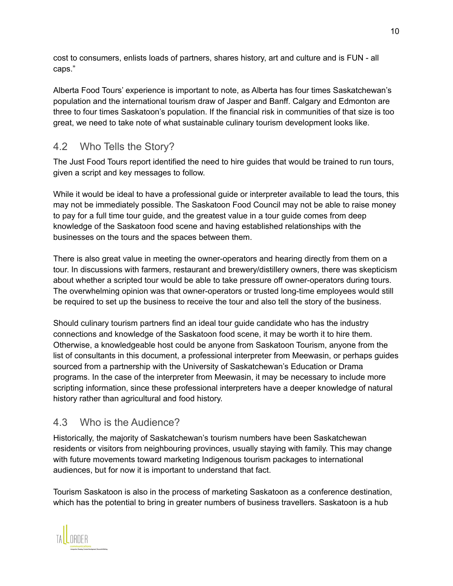cost to consumers, enlists loads of partners, shares history, art and culture and is FUN - all caps."

Alberta Food Tours' experience is important to note, as Alberta has four times Saskatchewan's population and the international tourism draw of Jasper and Banff. Calgary and Edmonton are three to four times Saskatoon's population. If the financial risk in communities of that size is too great, we need to take note of what sustainable culinary tourism development looks like.

# 4.2 Who Tells the Story?

The Just Food Tours report identified the need to hire guides that would be trained to run tours, given a script and key messages to follow.

While it would be ideal to have a professional guide or interpreter available to lead the tours, this may not be immediately possible. The Saskatoon Food Council may not be able to raise money to pay for a full time tour guide, and the greatest value in a tour guide comes from deep knowledge of the Saskatoon food scene and having established relationships with the businesses on the tours and the spaces between them.

There is also great value in meeting the owner-operators and hearing directly from them on a tour. In discussions with farmers, restaurant and brewery/distillery owners, there was skepticism about whether a scripted tour would be able to take pressure off owner-operators during tours. The overwhelming opinion was that owner-operators or trusted long-time employees would still be required to set up the business to receive the tour and also tell the story of the business.

Should culinary tourism partners find an ideal tour guide candidate who has the industry connections and knowledge of the Saskatoon food scene, it may be worth it to hire them. Otherwise, a knowledgeable host could be anyone from Saskatoon Tourism, anyone from the list of consultants in this document, a professional interpreter from Meewasin, or perhaps guides sourced from a partnership with the University of Saskatchewan's Education or Drama programs. In the case of the interpreter from Meewasin, it may be necessary to include more scripting information, since these professional interpreters have a deeper knowledge of natural history rather than agricultural and food history.

# 4.3 Who is the Audience?

Historically, the majority of Saskatchewan's tourism numbers have been Saskatchewan residents or visitors from neighbouring provinces, usually staying with family. This may change with future movements toward marketing Indigenous tourism packages to international audiences, but for now it is important to understand that fact.

Tourism Saskatoon is also in the process of marketing Saskatoon as a conference destination, which has the potential to bring in greater numbers of business travellers. Saskatoon is a hub

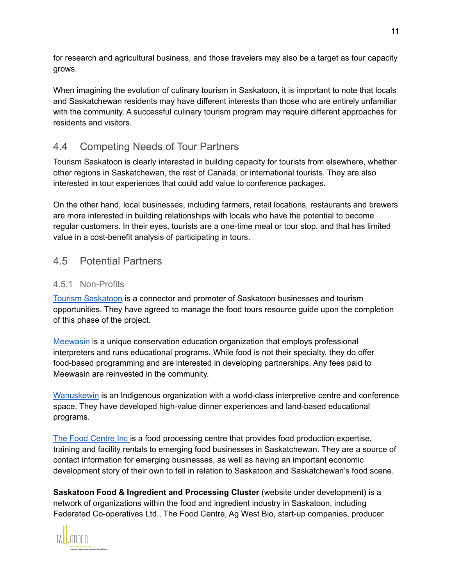for research and agricultural business, and those travelers may also be a target as tour capacity grows.

When imagining the evolution of culinary tourism in Saskatoon, it is important to note that locals and Saskatchewan residents may have different interests than those who are entirely unfamiliar with the community. A successful culinary tourism program may require different approaches for residents and visitors.

# 4.4 Competing Needs of Tour Partners

Tourism Saskatoon is clearly interested in building capacity for tourists from elsewhere, whether other regions in Saskatchewan, the rest of Canada, or international tourists. They are also interested in tour experiences that could add value to conference packages.

On the other hand, local businesses, including farmers, retail locations, restaurants and brewers are more interested in building relationships with locals who have the potential to become regular customers. In their eyes, tourists are a one-time meal or tour stop, and that has limited value in a cost-benefit analysis of participating in tours.

### 4.5 Potential Partners

#### 4.5.1 Non-Profits

Tourism [Saskatoon](https://www.tourismsaskatoon.com/) is a connector and promoter of Saskatoon businesses and tourism opportunities. They have agreed to manage the food tours resource guide upon the completion of this phase of the project.

[Meewasin](http://meewasin.com) is a unique conservation education organization that employs professional interpreters and runs educational programs. While food is not their specialty, they do offer food-based programming and are interested in developing partnerships. Any fees paid to Meewasin are reinvested in the community.

[Wanuskewin](https://wanuskewin.com/) is an Indigenous organization with a world-class interpretive centre and conference space. They have developed high-value dinner experiences and land-based educational programs.

The Food [Centre](https://foodcentre.sk.ca/) Inc is a food processing centre that provides food production expertise, training and facility rentals to emerging food businesses in Saskatchewan. They are a source of contact information for emerging businesses, as well as having an important economic development story of their own to tell in relation to Saskatoon and Saskatchewan's food scene.

**Saskatoon Food & Ingredient and Processing Cluster** (website under development) is a network of organizations within the food and ingredient industry in Saskatoon, including Federated Co-operatives Ltd., The Food Centre, Ag West Bio, start-up companies, producer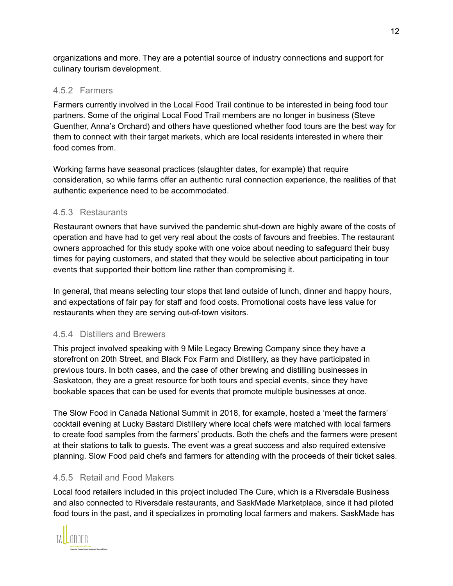organizations and more. They are a potential source of industry connections and support for culinary tourism development.

#### 4.5.2 Farmers

Farmers currently involved in the Local Food Trail continue to be interested in being food tour partners. Some of the original Local Food Trail members are no longer in business (Steve Guenther, Anna's Orchard) and others have questioned whether food tours are the best way for them to connect with their target markets, which are local residents interested in where their food comes from.

Working farms have seasonal practices (slaughter dates, for example) that require consideration, so while farms offer an authentic rural connection experience, the realities of that authentic experience need to be accommodated.

#### 4.5.3 Restaurants

Restaurant owners that have survived the pandemic shut-down are highly aware of the costs of operation and have had to get very real about the costs of favours and freebies. The restaurant owners approached for this study spoke with one voice about needing to safeguard their busy times for paying customers, and stated that they would be selective about participating in tour events that supported their bottom line rather than compromising it.

In general, that means selecting tour stops that land outside of lunch, dinner and happy hours, and expectations of fair pay for staff and food costs. Promotional costs have less value for restaurants when they are serving out-of-town visitors.

#### 4.5.4 Distillers and Brewers

This project involved speaking with 9 Mile Legacy Brewing Company since they have a storefront on 20th Street, and Black Fox Farm and Distillery, as they have participated in previous tours. In both cases, and the case of other brewing and distilling businesses in Saskatoon, they are a great resource for both tours and special events, since they have bookable spaces that can be used for events that promote multiple businesses at once.

The Slow Food in Canada National Summit in 2018, for example, hosted a 'meet the farmers' cocktail evening at Lucky Bastard Distillery where local chefs were matched with local farmers to create food samples from the farmers' products. Both the chefs and the farmers were present at their stations to talk to guests. The event was a great success and also required extensive planning. Slow Food paid chefs and farmers for attending with the proceeds of their ticket sales.

#### 4.5.5 Retail and Food Makers

Local food retailers included in this project included The Cure, which is a Riversdale Business and also connected to Riversdale restaurants, and SaskMade Marketplace, since it had piloted food tours in the past, and it specializes in promoting local farmers and makers. SaskMade has

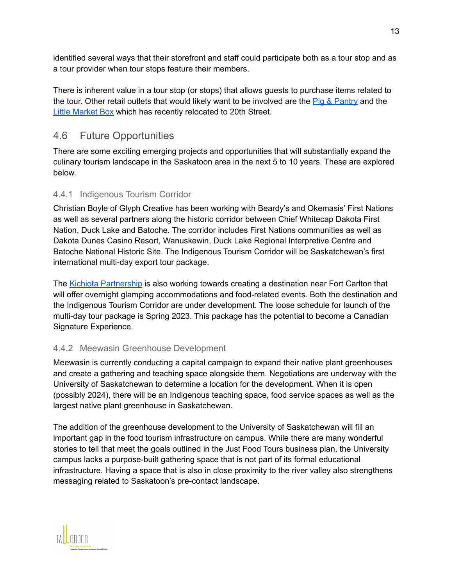identified several ways that their storefront and staff could participate both as a tour stop and as a tour provider when tour stops feature their members.

There is inherent value in a tour stop (or stops) that allows guests to purchase items related to the tour. Other retail outlets that would likely want to be involved are the Pig & [Pantry](https://pigandpantry.com/) and the Little [Market](https://www.thelittlemarketbox.com/) Box which has recently relocated to 20th Street.

### 4.6 Future Opportunities

There are some exciting emerging projects and opportunities that will substantially expand the culinary tourism landscape in the Saskatoon area in the next 5 to 10 years. These are explored below.

#### 4.4.1 Indigenous Tourism Corridor

Christian Boyle of Glyph Creative has been working with Beardy's and Okemasis' First Nations as well as several partners along the historic corridor between Chief Whitecap Dakota First Nation, Duck Lake and Batoche. The corridor includes First Nations communities as well as Dakota Dunes Casino Resort, Wanuskewin, Duck Lake Regional Interpretive Centre and Batoche National Historic Site. The Indigenous Tourism Corridor will be Saskatchewan's first international multi-day export tour package.

The Kichiota [Partnership](http://www.kichiota.com/) is also working towards creating a destination near Fort Carlton that will offer overnight glamping accommodations and food-related events. Both the destination and the Indigenous Tourism Corridor are under development. The loose schedule for launch of the multi-day tour package is Spring 2023. This package has the potential to become a Canadian Signature Experience.

#### 4.4.2 Meewasin Greenhouse Development

Meewasin is currently conducting a capital campaign to expand their native plant greenhouses and create a gathering and teaching space alongside them. Negotiations are underway with the University of Saskatchewan to determine a location for the development. When it is open (possibly 2024), there will be an Indigenous teaching space, food service spaces as well as the largest native plant greenhouse in Saskatchewan.

The addition of the greenhouse development to the University of Saskatchewan will fill an important gap in the food tourism infrastructure on campus. While there are many wonderful stories to tell that meet the goals outlined in the Just Food Tours business plan, the University campus lacks a purpose-built gathering space that is not part of its formal educational infrastructure. Having a space that is also in close proximity to the river valley also strengthens messaging related to Saskatoon's pre-contact landscape.

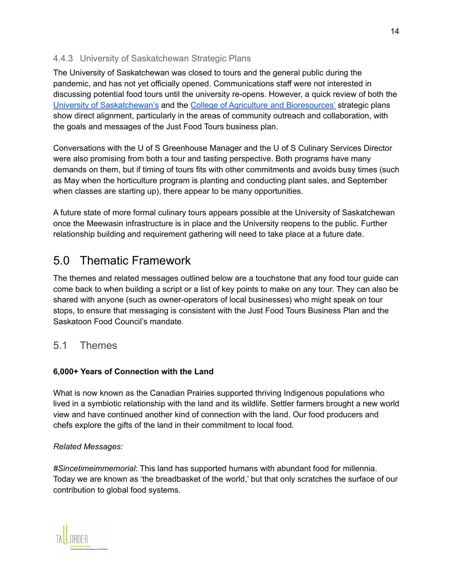#### 4.4.3 University of Saskatchewan Strategic Plans

The University of Saskatchewan was closed to tours and the general public during the pandemic, and has not yet officially opened. Communications staff were not interested in discussing potential food tours until the university re-opens. However, a quick review of both the University of [Saskatchewan's](https://plan.usask.ca/) and the College of Agriculture and [Bioresources'](https://agbio.usask.ca/strategic-plan-2025.php) strategic plans show direct alignment, particularly in the areas of community outreach and collaboration, with the goals and messages of the Just Food Tours business plan.

Conversations with the U of S Greenhouse Manager and the U of S Culinary Services Director were also promising from both a tour and tasting perspective. Both programs have many demands on them, but if timing of tours fits with other commitments and avoids busy times (such as May when the horticulture program is planting and conducting plant sales, and September when classes are starting up), there appear to be many opportunities.

A future state of more formal culinary tours appears possible at the University of Saskatchewan once the Meewasin infrastructure is in place and the University reopens to the public. Further relationship building and requirement gathering will need to take place at a future date.

# 5.0 Thematic Framework

The themes and related messages outlined below are a touchstone that any food tour guide can come back to when building a script or a list of key points to make on any tour. They can also be shared with anyone (such as owner-operators of local businesses) who might speak on tour stops, to ensure that messaging is consistent with the Just Food Tours Business Plan and the Saskatoon Food Council's mandate.

#### 5.1 Themes

#### **6,000+ Years of Connection with the Land**

What is now known as the Canadian Prairies supported thriving Indigenous populations who lived in a symbiotic relationship with the land and its wildlife. Settler farmers brought a new world view and have continued another kind of connection with the land. Our food producers and chefs explore the gifts of the land in their commitment to local food.

#### *Related Messages:*

*#Sincetimeimmemorial*: This land has supported humans with abundant food for millennia. Today we are known as 'the breadbasket of the world,' but that only scratches the surface of our contribution to global food systems.

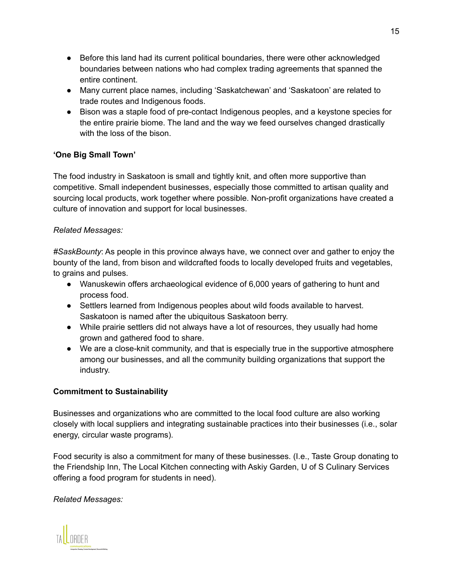- Before this land had its current political boundaries, there were other acknowledged boundaries between nations who had complex trading agreements that spanned the entire continent.
- Many current place names, including 'Saskatchewan' and 'Saskatoon' are related to trade routes and Indigenous foods.
- Bison was a staple food of pre-contact Indigenous peoples, and a keystone species for the entire prairie biome. The land and the way we feed ourselves changed drastically with the loss of the bison.

#### **'One Big Small Town'**

The food industry in Saskatoon is small and tightly knit, and often more supportive than competitive. Small independent businesses, especially those committed to artisan quality and sourcing local products, work together where possible. Non-profit organizations have created a culture of innovation and support for local businesses.

#### *Related Messages:*

*#SaskBounty*: As people in this province always have, we connect over and gather to enjoy the bounty of the land, from bison and wildcrafted foods to locally developed fruits and vegetables, to grains and pulses.

- Wanuskewin offers archaeological evidence of 6,000 years of gathering to hunt and process food.
- Settlers learned from Indigenous peoples about wild foods available to harvest. Saskatoon is named after the ubiquitous Saskatoon berry.
- While prairie settlers did not always have a lot of resources, they usually had home grown and gathered food to share.
- We are a close-knit community, and that is especially true in the supportive atmosphere among our businesses, and all the community building organizations that support the industry.

#### **Commitment to Sustainability**

Businesses and organizations who are committed to the local food culture are also working closely with local suppliers and integrating sustainable practices into their businesses (i.e., solar energy, circular waste programs).

Food security is also a commitment for many of these businesses. (I.e., Taste Group donating to the Friendship Inn, The Local Kitchen connecting with Askiy Garden, U of S Culinary Services offering a food program for students in need).

#### *Related Messages:*

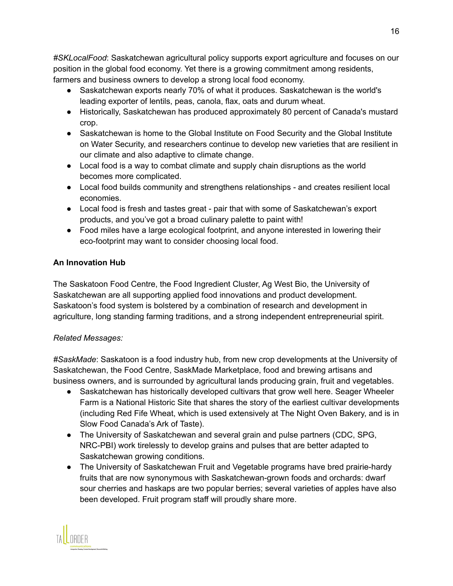*#SKLocalFood*: Saskatchewan agricultural policy supports export agriculture and focuses on our position in the global food economy. Yet there is a growing commitment among residents, farmers and business owners to develop a strong local food economy.

- Saskatchewan exports nearly 70% of what it produces. Saskatchewan is the world's leading exporter of lentils, peas, canola, flax, oats and durum wheat.
- Historically, Saskatchewan has produced approximately 80 percent of Canada's mustard crop.
- Saskatchewan is home to the Global Institute on Food Security and the Global Institute on Water Security, and researchers continue to develop new varieties that are resilient in our climate and also adaptive to climate change.
- Local food is a way to combat climate and supply chain disruptions as the world becomes more complicated.
- Local food builds community and strengthens relationships and creates resilient local economies.
- Local food is fresh and tastes great pair that with some of Saskatchewan's export products, and you've got a broad culinary palette to paint with!
- Food miles have a large ecological footprint, and anyone interested in lowering their eco-footprint may want to consider choosing local food.

#### **An Innovation Hub**

The Saskatoon Food Centre, the Food Ingredient Cluster, Ag West Bio, the University of Saskatchewan are all supporting applied food innovations and product development. Saskatoon's food system is bolstered by a combination of research and development in agriculture, long standing farming traditions, and a strong independent entrepreneurial spirit.

#### *Related Messages:*

*#SaskMade*: Saskatoon is a food industry hub, from new crop developments at the University of Saskatchewan, the Food Centre, SaskMade Marketplace, food and brewing artisans and business owners, and is surrounded by agricultural lands producing grain, fruit and vegetables.

- Saskatchewan has historically developed cultivars that grow well here. Seager Wheeler Farm is a National Historic Site that shares the story of the earliest cultivar developments (including Red Fife Wheat, which is used extensively at The Night Oven Bakery, and is in Slow Food Canada's Ark of Taste).
- The University of Saskatchewan and several grain and pulse partners (CDC, SPG, NRC-PBI) work tirelessly to develop grains and pulses that are better adapted to Saskatchewan growing conditions.
- The University of Saskatchewan Fruit and Vegetable programs have bred prairie-hardy fruits that are now synonymous with Saskatchewan-grown foods and orchards: dwarf sour cherries and haskaps are two popular berries; several varieties of apples have also been developed. Fruit program staff will proudly share more.

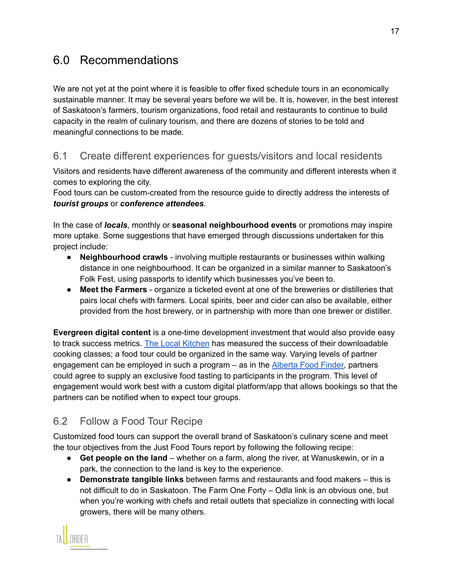# 6.0 Recommendations

We are not yet at the point where it is feasible to offer fixed schedule tours in an economically sustainable manner. It may be several years before we will be. It is, however, in the best interest of Saskatoon's farmers, tourism organizations, food retail and restaurants to continue to build capacity in the realm of culinary tourism, and there are dozens of stories to be told and meaningful connections to be made.

### 6.1 Create different experiences for guests/visitors and local residents

Visitors and residents have different awareness of the community and different interests when it comes to exploring the city.

Food tours can be custom-created from the resource guide to directly address the interests of *tourist groups* or *conference attendees*.

In the case of *locals*, monthly or **seasonal neighbourhood events** or promotions may inspire more uptake. Some suggestions that have emerged through discussions undertaken for this project include:

- **Neighbourhood crawls** involving multiple restaurants or businesses within walking distance in one neighbourhood. It can be organized in a similar manner to Saskatoon's Folk Fest, using passports to identify which businesses you've been to.
- **Meet the Farmers** organize a ticketed event at one of the breweries or distilleries that pairs local chefs with farmers. Local spirits, beer and cider can also be available, either provided from the host brewery, or in partnership with more than one brewer or distiller.

**Evergreen digital content** is a one-time development investment that would also provide easy to track success metrics. The Local [Kitchen](https://www.thelocalkitchenyxe.com/) has measured the success of their downloadable cooking classes; a food tour could be organized in the same way. Varying levels of partner engagement can be employed in such a program – as in the [Alberta](https://albertafoodtours.ca/alberta-food-finder/) Food Finder, partners could agree to supply an exclusive food tasting to participants in the program. This level of engagement would work best with a custom digital platform/app that allows bookings so that the partners can be notified when to expect tour groups.

# 6.2 Follow a Food Tour Recipe

Customized food tours can support the overall brand of Saskatoon's culinary scene and meet the tour objectives from the Just Food Tours report by following the following recipe:

- **Get people on the land** whether on a farm, along the river, at Wanuskewin, or in a park, the connection to the land is key to the experience.
- **Demonstrate tangible links** between farms and restaurants and food makers this is not difficult to do in Saskatoon. The Farm One Forty – Odla link is an obvious one, but when you're working with chefs and retail outlets that specialize in connecting with local growers, there will be many others.

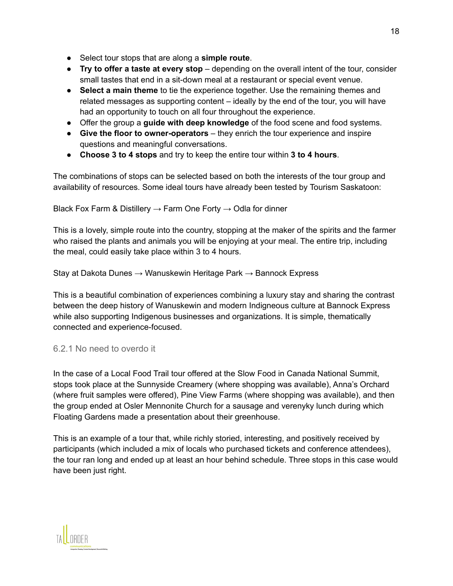- Select tour stops that are along a **simple route**.
- **Try to offer a taste at every stop** depending on the overall intent of the tour, consider small tastes that end in a sit-down meal at a restaurant or special event venue.
- **Select a main theme** to tie the experience together. Use the remaining themes and related messages as supporting content – ideally by the end of the tour, you will have had an opportunity to touch on all four throughout the experience.
- Offer the group a **guide with deep knowledge** of the food scene and food systems.
- **Give the floor to owner-operators** they enrich the tour experience and inspire questions and meaningful conversations.
- **Choose 3 to 4 stops** and try to keep the entire tour within **3 to 4 hours**.

The combinations of stops can be selected based on both the interests of the tour group and availability of resources. Some ideal tours have already been tested by Tourism Saskatoon:

Black Fox Farm & Distillery  $\rightarrow$  Farm One Forty  $\rightarrow$  Odla for dinner

This is a lovely, simple route into the country, stopping at the maker of the spirits and the farmer who raised the plants and animals you will be enjoying at your meal. The entire trip, including the meal, could easily take place within 3 to 4 hours.

Stay at Dakota Dunes → Wanuskewin Heritage Park → Bannock Express

This is a beautiful combination of experiences combining a luxury stay and sharing the contrast between the deep history of Wanuskewin and modern Indigneous culture at Bannock Express while also supporting Indigenous businesses and organizations. It is simple, thematically connected and experience-focused.

#### 6.2.1 No need to overdo it

In the case of a Local Food Trail tour offered at the Slow Food in Canada National Summit, stops took place at the Sunnyside Creamery (where shopping was available), Anna's Orchard (where fruit samples were offered), Pine View Farms (where shopping was available), and then the group ended at Osler Mennonite Church for a sausage and verenyky lunch during which Floating Gardens made a presentation about their greenhouse.

This is an example of a tour that, while richly storied, interesting, and positively received by participants (which included a mix of locals who purchased tickets and conference attendees), the tour ran long and ended up at least an hour behind schedule. Three stops in this case would have been just right.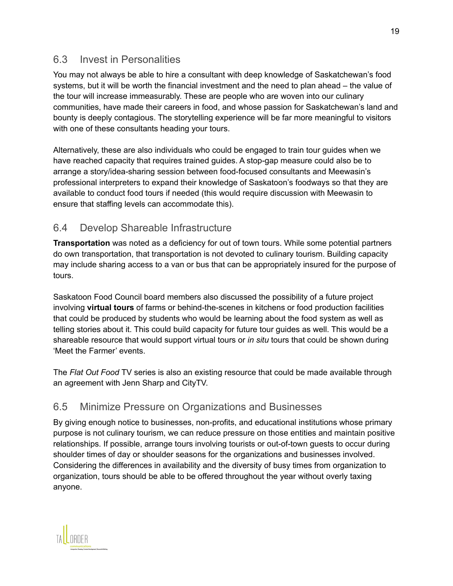### 6.3 Invest in Personalities

You may not always be able to hire a consultant with deep knowledge of Saskatchewan's food systems, but it will be worth the financial investment and the need to plan ahead – the value of the tour will increase immeasurably. These are people who are woven into our culinary communities, have made their careers in food, and whose passion for Saskatchewan's land and bounty is deeply contagious. The storytelling experience will be far more meaningful to visitors with one of these consultants heading your tours.

Alternatively, these are also individuals who could be engaged to train tour guides when we have reached capacity that requires trained guides. A stop-gap measure could also be to arrange a story/idea-sharing session between food-focused consultants and Meewasin's professional interpreters to expand their knowledge of Saskatoon's foodways so that they are available to conduct food tours if needed (this would require discussion with Meewasin to ensure that staffing levels can accommodate this).

### 6.4 Develop Shareable Infrastructure

**Transportation** was noted as a deficiency for out of town tours. While some potential partners do own transportation, that transportation is not devoted to culinary tourism. Building capacity may include sharing access to a van or bus that can be appropriately insured for the purpose of tours.

Saskatoon Food Council board members also discussed the possibility of a future project involving **virtual tours** of farms or behind-the-scenes in kitchens or food production facilities that could be produced by students who would be learning about the food system as well as telling stories about it. This could build capacity for future tour guides as well. This would be a shareable resource that would support virtual tours or *in situ* tours that could be shown during 'Meet the Farmer' events.

The *Flat Out Food* TV series is also an existing resource that could be made available through an agreement with Jenn Sharp and CityTV.

#### 6.5 Minimize Pressure on Organizations and Businesses

By giving enough notice to businesses, non-profits, and educational institutions whose primary purpose is not culinary tourism, we can reduce pressure on those entities and maintain positive relationships. If possible, arrange tours involving tourists or out-of-town guests to occur during shoulder times of day or shoulder seasons for the organizations and businesses involved. Considering the differences in availability and the diversity of busy times from organization to organization, tours should be able to be offered throughout the year without overly taxing anyone.